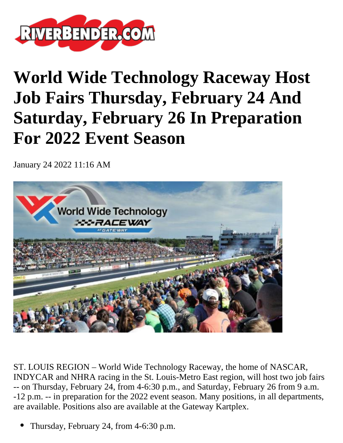

## **World Wide Technology Raceway Host Job Fairs Thursday, February 24 And Saturday, February 26 In Preparation For 2022 Event Season**

January 24 2022 11:16 AM



ST. LOUIS REGION – World Wide Technology Raceway, the home of NASCAR, INDYCAR and NHRA racing in the St. Louis-Metro East region, will host two job fairs -- on Thursday, February 24, from 4-6:30 p.m., and Saturday, February 26 from 9 a.m. -12 p.m. -- in preparation for the 2022 event season. Many positions, in all departments, are available. Positions also are available at the Gateway Kartplex.

Thursday, February 24, from 4-6:30 p.m.